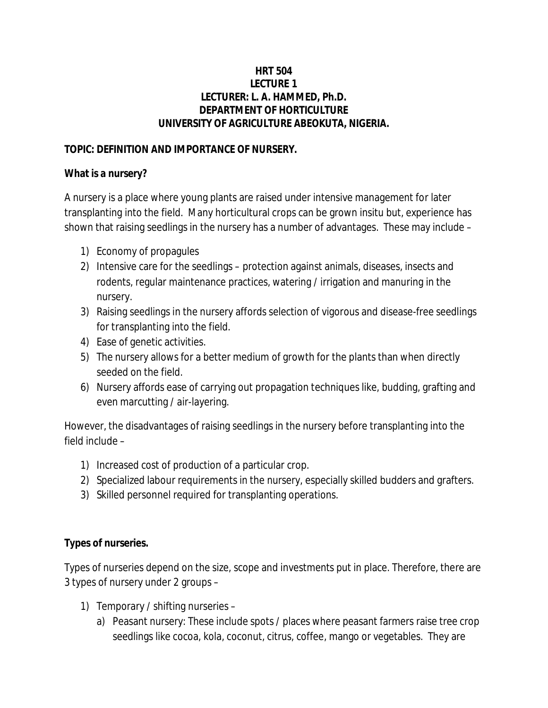# **HRT 504 LECTURE 1 LECTURER: L. A. HAMMED, Ph.D. DEPARTMENT OF HORTICULTURE UNIVERSITY OF AGRICULTURE ABEOKUTA, NIGERIA.**

# **TOPIC: DEFINITION AND IMPORTANCE OF NURSERY.**

### **What is a nursery?**

A nursery is a place where young plants are raised under intensive management for later transplanting into the field. Many horticultural crops can be grown insitu but, experience has shown that raising seedlings in the nursery has a number of advantages. These may include –

- 1) Economy of propagules
- 2) Intensive care for the seedlings protection against animals, diseases, insects and rodents, regular maintenance practices, watering / irrigation and manuring in the nursery.
- 3) Raising seedlings in the nursery affords selection of vigorous and disease-free seedlings for transplanting into the field.
- 4) Ease of genetic activities.
- 5) The nursery allows for a better medium of growth for the plants than when directly seeded on the field.
- 6) Nursery affords ease of carrying out propagation techniques like, budding, grafting and even marcutting / air-layering.

However, the disadvantages of raising seedlings in the nursery before transplanting into the field include –

- 1) Increased cost of production of a particular crop.
- 2) Specialized labour requirements in the nursery, especially skilled budders and grafters.
- 3) Skilled personnel required for transplanting operations.

# **Types of nurseries.**

Types of nurseries depend on the size, scope and investments put in place. Therefore, there are 3 types of nursery under 2 groups –

- 1) Temporary / shifting nurseries
	- a) Peasant nursery: These include spots / places where peasant farmers raise tree crop seedlings like cocoa, kola, coconut, citrus, coffee, mango or vegetables. They are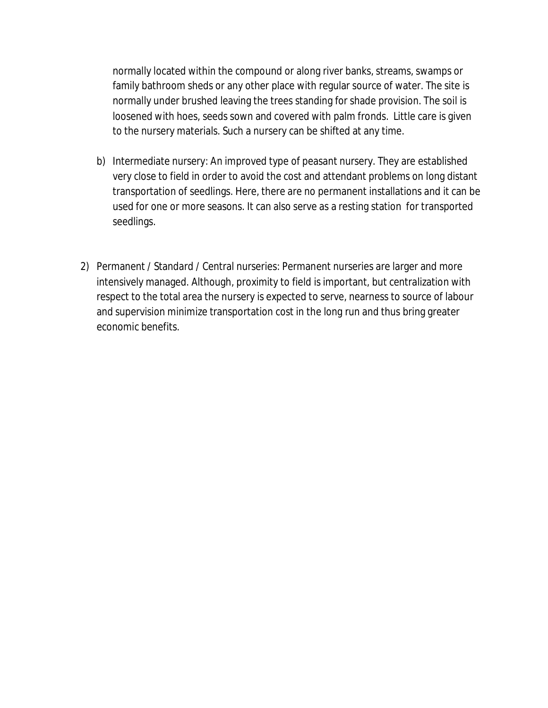normally located within the compound or along river banks, streams, swamps or family bathroom sheds or any other place with regular source of water. The site is normally under brushed leaving the trees standing for shade provision. The soil is loosened with hoes, seeds sown and covered with palm fronds. Little care is given to the nursery materials. Such a nursery can be shifted at any time.

- b) Intermediate nursery: An improved type of peasant nursery. They are established very close to field in order to avoid the cost and attendant problems on long distant transportation of seedlings. Here, there are no permanent installations and it can be used for one or more seasons. It can also serve as a resting station for transported seedlings.
- 2) Permanent / Standard / Central nurseries: Permanent nurseries are larger and more intensively managed. Although, proximity to field is important, but centralization with respect to the total area the nursery is expected to serve, nearness to source of labour and supervision minimize transportation cost in the long run and thus bring greater economic benefits.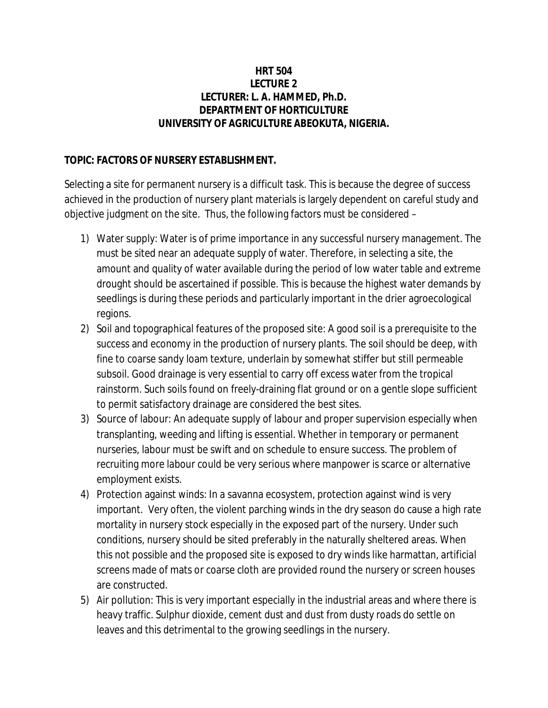## **HRT 504 LECTURE 2 LECTURER: L. A. HAMMED, Ph.D. DEPARTMENT OF HORTICULTURE UNIVERSITY OF AGRICULTURE ABEOKUTA, NIGERIA.**

# **TOPIC: FACTORS OF NURSERY ESTABLISHMENT.**

Selecting a site for permanent nursery is a difficult task. This is because the degree of success achieved in the production of nursery plant materials is largely dependent on careful study and objective judgment on the site. Thus, the following factors must be considered –

- 1) Water supply: Water is of prime importance in any successful nursery management. The must be sited near an adequate supply of water. Therefore, in selecting a site, the amount and quality of water available during the period of low water table and extreme drought should be ascertained if possible. This is because the highest water demands by seedlings is during these periods and particularly important in the drier agroecological regions.
- 2) Soil and topographical features of the proposed site: A good soil is a prerequisite to the success and economy in the production of nursery plants. The soil should be deep, with fine to coarse sandy loam texture, underlain by somewhat stiffer but still permeable subsoil. Good drainage is very essential to carry off excess water from the tropical rainstorm. Such soils found on freely-draining flat ground or on a gentle slope sufficient to permit satisfactory drainage are considered the best sites.
- 3) Source of labour: An adequate supply of labour and proper supervision especially when transplanting, weeding and lifting is essential. Whether in temporary or permanent nurseries, labour must be swift and on schedule to ensure success. The problem of recruiting more labour could be very serious where manpower is scarce or alternative employment exists.
- 4) Protection against winds: In a savanna ecosystem, protection against wind is very important. Very often, the violent parching winds in the dry season do cause a high rate mortality in nursery stock especially in the exposed part of the nursery. Under such conditions, nursery should be sited preferably in the naturally sheltered areas. When this not possible and the proposed site is exposed to dry winds like harmattan, artificial screens made of mats or coarse cloth are provided round the nursery or screen houses are constructed.
- 5) Air pollution: This is very important especially in the industrial areas and where there is heavy traffic. Sulphur dioxide, cement dust and dust from dusty roads do settle on leaves and this detrimental to the growing seedlings in the nursery.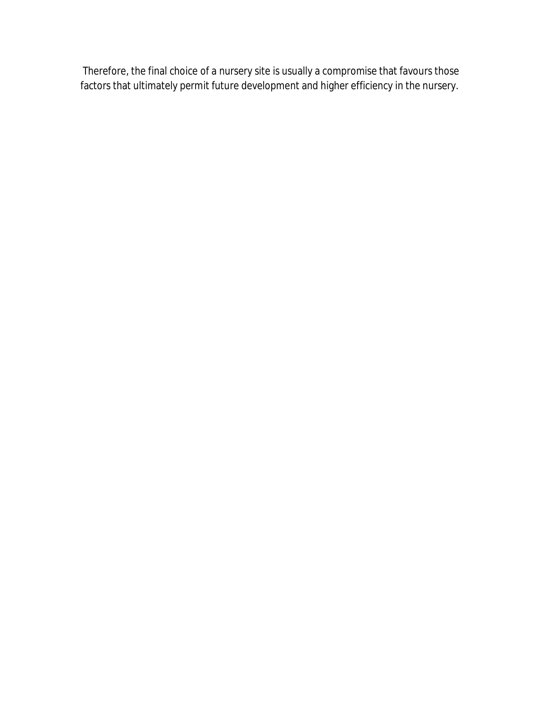Therefore, the final choice of a nursery site is usually a compromise that favours those factors that ultimately permit future development and higher efficiency in the nursery.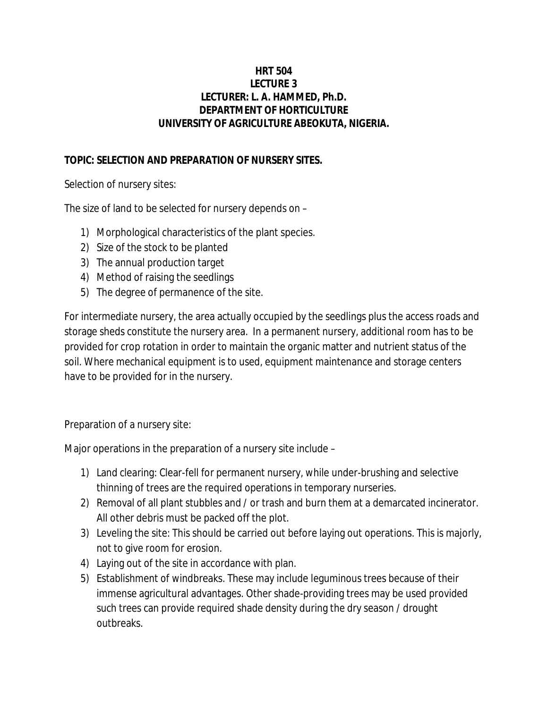# **HRT 504 LECTURE 3 LECTURER: L. A. HAMMED, Ph.D. DEPARTMENT OF HORTICULTURE UNIVERSITY OF AGRICULTURE ABEOKUTA, NIGERIA.**

# **TOPIC: SELECTION AND PREPARATION OF NURSERY SITES.**

Selection of nursery sites:

The size of land to be selected for nursery depends on –

- 1) Morphological characteristics of the plant species.
- 2) Size of the stock to be planted
- 3) The annual production target
- 4) Method of raising the seedlings
- 5) The degree of permanence of the site.

For intermediate nursery, the area actually occupied by the seedlings plus the access roads and storage sheds constitute the nursery area. In a permanent nursery, additional room has to be provided for crop rotation in order to maintain the organic matter and nutrient status of the soil. Where mechanical equipment is to used, equipment maintenance and storage centers have to be provided for in the nursery.

Preparation of a nursery site:

Major operations in the preparation of a nursery site include –

- 1) Land clearing: Clear-fell for permanent nursery, while under-brushing and selective thinning of trees are the required operations in temporary nurseries.
- 2) Removal of all plant stubbles and / or trash and burn them at a demarcated incinerator. All other debris must be packed off the plot.
- 3) Leveling the site: This should be carried out before laying out operations. This is majorly, not to give room for erosion.
- 4) Laying out of the site in accordance with plan.
- 5) Establishment of windbreaks. These may include leguminous trees because of their immense agricultural advantages. Other shade-providing trees may be used provided such trees can provide required shade density during the dry season / drought outbreaks.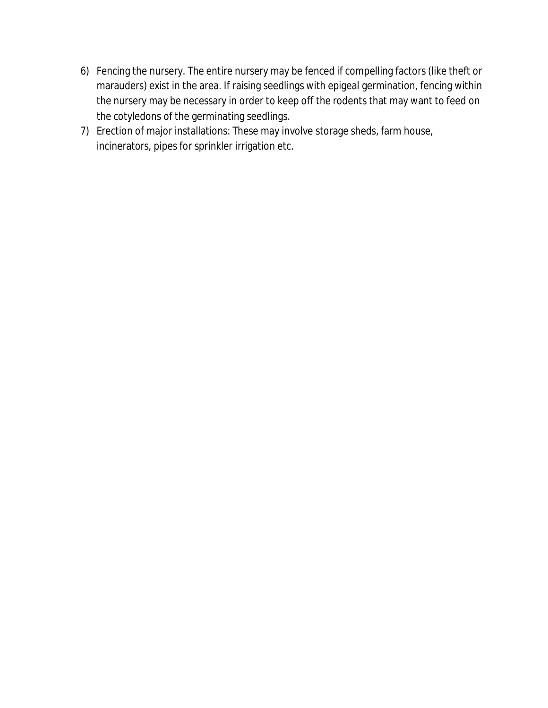- 6) Fencing the nursery. The entire nursery may be fenced if compelling factors (like theft or marauders) exist in the area. If raising seedlings with epigeal germination, fencing within the nursery may be necessary in order to keep off the rodents that may want to feed on the cotyledons of the germinating seedlings.
- 7) Erection of major installations: These may involve storage sheds, farm house, incinerators, pipes for sprinkler irrigation etc.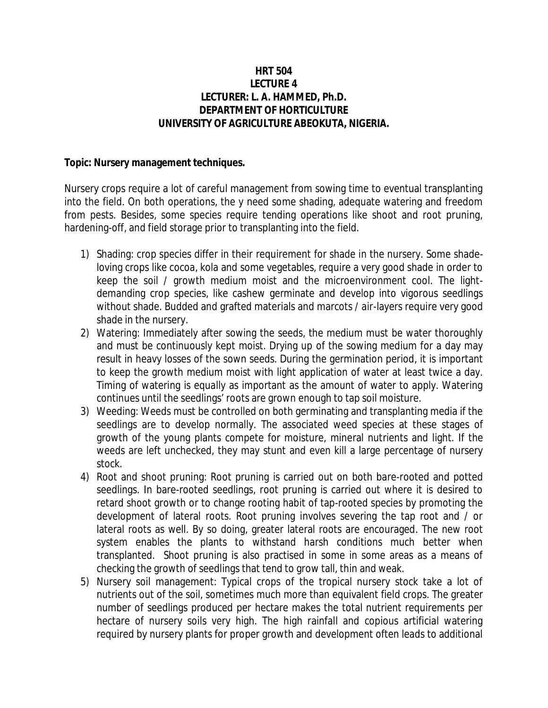### **HRT 504 LECTURE 4 LECTURER: L. A. HAMMED, Ph.D. DEPARTMENT OF HORTICULTURE UNIVERSITY OF AGRICULTURE ABEOKUTA, NIGERIA.**

#### **Topic: Nursery management techniques.**

Nursery crops require a lot of careful management from sowing time to eventual transplanting into the field. On both operations, the y need some shading, adequate watering and freedom from pests. Besides, some species require tending operations like shoot and root pruning, hardening-off, and field storage prior to transplanting into the field.

- 1) Shading: crop species differ in their requirement for shade in the nursery. Some shadeloving crops like cocoa, kola and some vegetables, require a very good shade in order to keep the soil / growth medium moist and the microenvironment cool. The lightdemanding crop species, like cashew germinate and develop into vigorous seedlings without shade. Budded and grafted materials and marcots / air-layers require very good shade in the nursery.
- 2) Watering: Immediately after sowing the seeds, the medium must be water thoroughly and must be continuously kept moist. Drying up of the sowing medium for a day may result in heavy losses of the sown seeds. During the germination period, it is important to keep the growth medium moist with light application of water at least twice a day. Timing of watering is equally as important as the amount of water to apply. Watering continues until the seedlings' roots are grown enough to tap soil moisture.
- 3) Weeding: Weeds must be controlled on both germinating and transplanting media if the seedlings are to develop normally. The associated weed species at these stages of growth of the young plants compete for moisture, mineral nutrients and light. If the weeds are left unchecked, they may stunt and even kill a large percentage of nursery stock.
- 4) Root and shoot pruning: Root pruning is carried out on both bare-rooted and potted seedlings. In bare-rooted seedlings, root pruning is carried out where it is desired to retard shoot growth or to change rooting habit of tap-rooted species by promoting the development of lateral roots. Root pruning involves severing the tap root and / or lateral roots as well. By so doing, greater lateral roots are encouraged. The new root system enables the plants to withstand harsh conditions much better when transplanted. Shoot pruning is also practised in some in some areas as a means of checking the growth of seedlings that tend to grow tall, thin and weak.
- 5) Nursery soil management: Typical crops of the tropical nursery stock take a lot of nutrients out of the soil, sometimes much more than equivalent field crops. The greater number of seedlings produced per hectare makes the total nutrient requirements per hectare of nursery soils very high. The high rainfall and copious artificial watering required by nursery plants for proper growth and development often leads to additional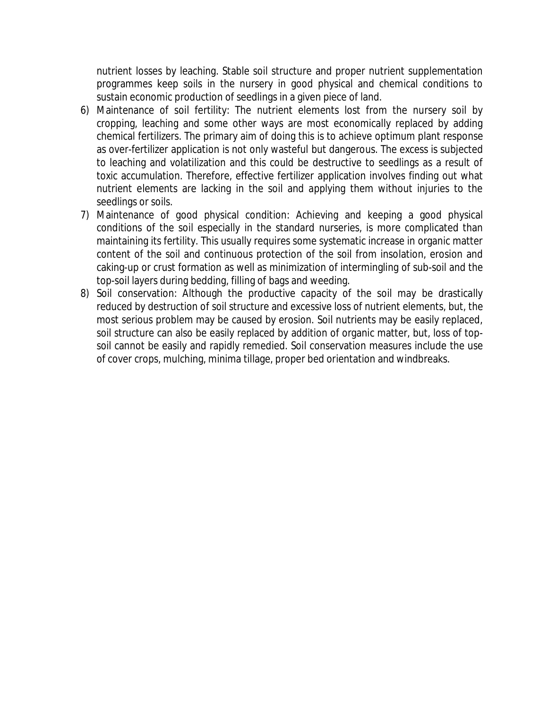nutrient losses by leaching. Stable soil structure and proper nutrient supplementation programmes keep soils in the nursery in good physical and chemical conditions to sustain economic production of seedlings in a given piece of land.

- 6) Maintenance of soil fertility: The nutrient elements lost from the nursery soil by cropping, leaching and some other ways are most economically replaced by adding chemical fertilizers. The primary aim of doing this is to achieve optimum plant response as over-fertilizer application is not only wasteful but dangerous. The excess is subjected to leaching and volatilization and this could be destructive to seedlings as a result of toxic accumulation. Therefore, effective fertilizer application involves finding out what nutrient elements are lacking in the soil and applying them without injuries to the seedlings or soils.
- 7) Maintenance of good physical condition: Achieving and keeping a good physical conditions of the soil especially in the standard nurseries, is more complicated than maintaining its fertility. This usually requires some systematic increase in organic matter content of the soil and continuous protection of the soil from insolation, erosion and caking-up or crust formation as well as minimization of intermingling of sub-soil and the top-soil layers during bedding, filling of bags and weeding.
- 8) Soil conservation: Although the productive capacity of the soil may be drastically reduced by destruction of soil structure and excessive loss of nutrient elements, but, the most serious problem may be caused by erosion. Soil nutrients may be easily replaced, soil structure can also be easily replaced by addition of organic matter, but, loss of topsoil cannot be easily and rapidly remedied. Soil conservation measures include the use of cover crops, mulching, minima tillage, proper bed orientation and windbreaks.